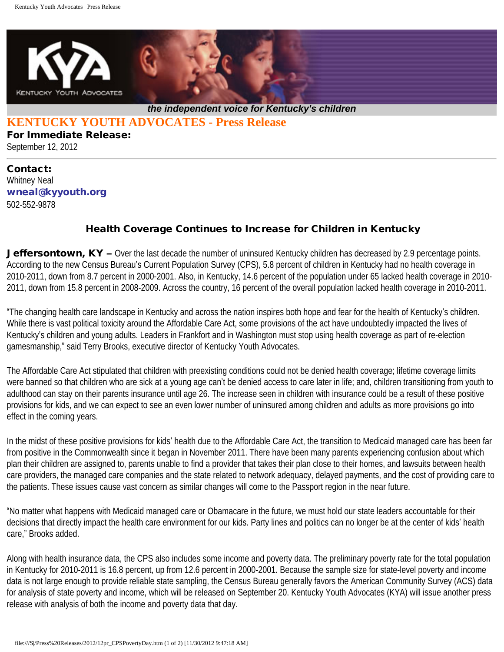

## **KENTUCKY YOUTH ADVOCATES - Press Release**

For Immediate Release: September 12, 2012

## Contact: Whitney Neal [wneal@kyyouth.org](mailto:wneal@kyyouth.org) 502-552-9878

## Health Coverage Continues to Increase for Children in Kentucky

**Jeffersontown, KY** – Over the last decade the number of uninsured Kentucky children has decreased by 2.9 percentage points. According to the new Census Bureau's Current Population Survey (CPS), 5.8 percent of children in Kentucky had no health coverage in 2010-2011, down from 8.7 percent in 2000-2001. Also, in Kentucky, 14.6 percent of the population under 65 lacked health coverage in 2010- 2011, down from 15.8 percent in 2008-2009. Across the country, 16 percent of the overall population lacked health coverage in 2010-2011.

"The changing health care landscape in Kentucky and across the nation inspires both hope and fear for the health of Kentucky's children. While there is vast political toxicity around the Affordable Care Act, some provisions of the act have undoubtedly impacted the lives of Kentucky's children and young adults. Leaders in Frankfort and in Washington must stop using health coverage as part of re-election gamesmanship," said Terry Brooks, executive director of Kentucky Youth Advocates.

The Affordable Care Act stipulated that children with preexisting conditions could not be denied health coverage; lifetime coverage limits were banned so that children who are sick at a young age can't be denied access to care later in life; and, children transitioning from youth to adulthood can stay on their parents insurance until age 26. The increase seen in children with insurance could be a result of these positive provisions for kids, and we can expect to see an even lower number of uninsured among children and adults as more provisions go into effect in the coming years.

In the midst of these positive provisions for kids' health due to the Affordable Care Act, the transition to Medicaid managed care has been far from positive in the Commonwealth since it began in November 2011. There have been many parents experiencing confusion about which plan their children are assigned to, parents unable to find a provider that takes their plan close to their homes, and lawsuits between health care providers, the managed care companies and the state related to network adequacy, delayed payments, and the cost of providing care to the patients. These issues cause vast concern as similar changes will come to the Passport region in the near future.

"No matter what happens with Medicaid managed care or Obamacare in the future, we must hold our state leaders accountable for their decisions that directly impact the health care environment for our kids. Party lines and politics can no longer be at the center of kids' health care," Brooks added.

Along with health insurance data, the CPS also includes some income and poverty data. The preliminary poverty rate for the total population in Kentucky for 2010-2011 is 16.8 percent, up from 12.6 percent in 2000-2001. Because the sample size for state-level poverty and income data is not large enough to provide reliable state sampling, the Census Bureau generally favors the American Community Survey (ACS) data for analysis of state poverty and income, which will be released on September 20. Kentucky Youth Advocates (KYA) will issue another press release with analysis of both the income and poverty data that day.